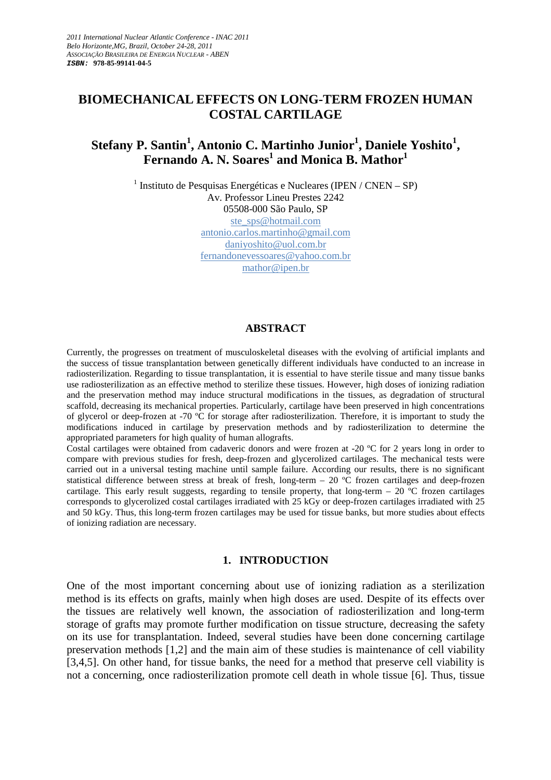## **BIOMECHANICAL EFFECTS ON LONG-TERM FROZEN HUMAN COSTAL CARTILAGE**

# **Stefany P. Santin<sup>1</sup> , Antonio C. Martinho Junior<sup>1</sup> , Daniele Yoshito<sup>1</sup> , Fernando A. N. Soares<sup>1</sup> and Monica B. Mathor<sup>1</sup>**

 $<sup>1</sup>$  Instituto de Pesquisas Energéticas e Nucleares (IPEN / CNEN – SP)</sup> Av. Professor Lineu Prestes 2242 05508-000 São Paulo, SP ste\_sps@hotmail.com antonio.carlos.martinho@gmail.com daniyoshito@uol.com.br fernandonevessoares@yahoo.com.br mathor@ipen.br

#### **ABSTRACT**

Currently, the progresses on treatment of musculoskeletal diseases with the evolving of artificial implants and the success of tissue transplantation between genetically different individuals have conducted to an increase in radiosterilization. Regarding to tissue transplantation, it is essential to have sterile tissue and many tissue banks use radiosterilization as an effective method to sterilize these tissues. However, high doses of ionizing radiation and the preservation method may induce structural modifications in the tissues, as degradation of structural scaffold, decreasing its mechanical properties. Particularly, cartilage have been preserved in high concentrations of glycerol or deep-frozen at -70 ºC for storage after radiosterilization. Therefore, it is important to study the modifications induced in cartilage by preservation methods and by radiosterilization to determine the appropriated parameters for high quality of human allografts.

Costal cartilages were obtained from cadaveric donors and were frozen at -20 ºC for 2 years long in order to compare with previous studies for fresh, deep-frozen and glycerolized cartilages. The mechanical tests were carried out in a universal testing machine until sample failure. According our results, there is no significant statistical difference between stress at break of fresh, long-term – 20 ºC frozen cartilages and deep-frozen cartilage. This early result suggests, regarding to tensile property, that long-term – 20  $^{\circ}$ C frozen cartilages corresponds to glycerolized costal cartilages irradiated with 25 kGy or deep-frozen cartilages irradiated with 25 and 50 kGy. Thus, this long-term frozen cartilages may be used for tissue banks, but more studies about effects of ionizing radiation are necessary.

#### **1. INTRODUCTION**

One of the most important concerning about use of ionizing radiation as a sterilization method is its effects on grafts, mainly when high doses are used. Despite of its effects over the tissues are relatively well known, the association of radiosterilization and long-term storage of grafts may promote further modification on tissue structure, decreasing the safety on its use for transplantation. Indeed, several studies have been done concerning cartilage preservation methods [1,2] and the main aim of these studies is maintenance of cell viability [3,4,5]. On other hand, for tissue banks, the need for a method that preserve cell viability is not a concerning, once radiosterilization promote cell death in whole tissue [6]. Thus, tissue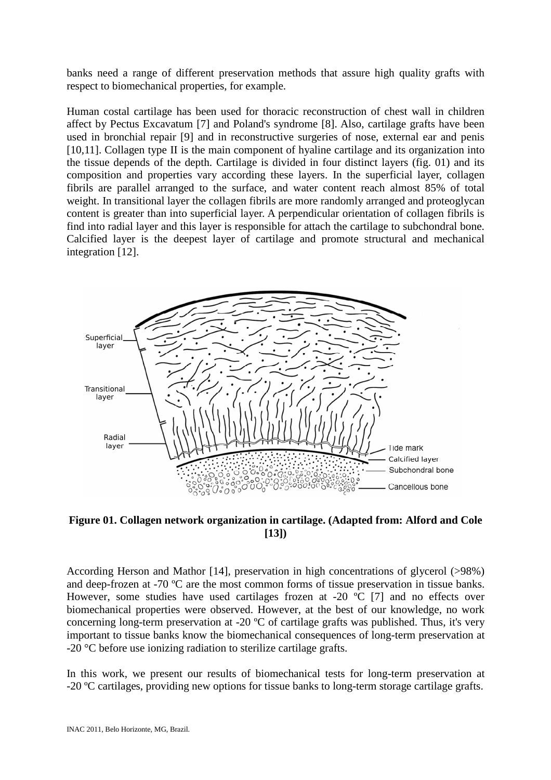banks need a range of different preservation methods that assure high quality grafts with respect to biomechanical properties, for example.

Human costal cartilage has been used for thoracic reconstruction of chest wall in children affect by Pectus Excavatum [7] and Poland's syndrome [8]. Also, cartilage grafts have been used in bronchial repair [9] and in reconstructive surgeries of nose, external ear and penis [10,11]. Collagen type II is the main component of hyaline cartilage and its organization into the tissue depends of the depth. Cartilage is divided in four distinct layers (fig. 01) and its composition and properties vary according these layers. In the superficial layer, collagen fibrils are parallel arranged to the surface, and water content reach almost 85% of total weight. In transitional layer the collagen fibrils are more randomly arranged and proteoglycan content is greater than into superficial layer. A perpendicular orientation of collagen fibrils is find into radial layer and this layer is responsible for attach the cartilage to subchondral bone. Calcified layer is the deepest layer of cartilage and promote structural and mechanical integration [12].



**Figure 01. Collagen network organization in cartilage. (Adapted from: Alford and Cole [13])** 

According Herson and Mathor [14], preservation in high concentrations of glycerol (>98%) and deep-frozen at -70 ºC are the most common forms of tissue preservation in tissue banks. However, some studies have used cartilages frozen at -20 °C [7] and no effects over biomechanical properties were observed. However, at the best of our knowledge, no work concerning long-term preservation at -20  $^{\circ}$ C of cartilage grafts was published. Thus, it's very important to tissue banks know the biomechanical consequences of long-term preservation at -20 °C before use ionizing radiation to sterilize cartilage grafts.

In this work, we present our results of biomechanical tests for long-term preservation at -20 ºC cartilages, providing new options for tissue banks to long-term storage cartilage grafts.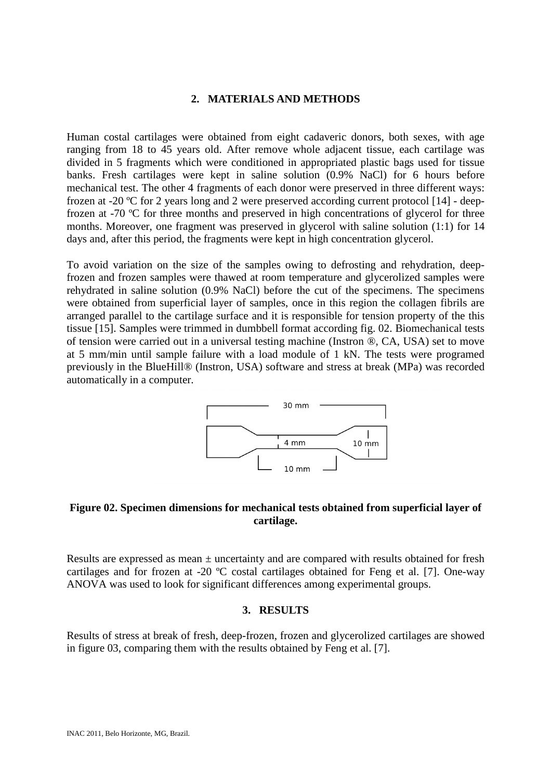#### **2. MATERIALS AND METHODS**

Human costal cartilages were obtained from eight cadaveric donors, both sexes, with age ranging from 18 to 45 years old. After remove whole adjacent tissue, each cartilage was divided in 5 fragments which were conditioned in appropriated plastic bags used for tissue banks. Fresh cartilages were kept in saline solution (0.9% NaCl) for 6 hours before mechanical test. The other 4 fragments of each donor were preserved in three different ways: frozen at -20 ºC for 2 years long and 2 were preserved according current protocol [14] - deepfrozen at -70 ºC for three months and preserved in high concentrations of glycerol for three months. Moreover, one fragment was preserved in glycerol with saline solution (1:1) for 14 days and, after this period, the fragments were kept in high concentration glycerol.

To avoid variation on the size of the samples owing to defrosting and rehydration, deepfrozen and frozen samples were thawed at room temperature and glycerolized samples were rehydrated in saline solution (0.9% NaCl) before the cut of the specimens. The specimens were obtained from superficial layer of samples, once in this region the collagen fibrils are arranged parallel to the cartilage surface and it is responsible for tension property of the this tissue [15]. Samples were trimmed in dumbbell format according fig. 02. Biomechanical tests of tension were carried out in a universal testing machine (Instron ®, CA, USA) set to move at 5 mm/min until sample failure with a load module of 1 kN. The tests were programed previously in the BlueHill® (Instron, USA) software and stress at break (MPa) was recorded automatically in a computer.



## **Figure 02. Specimen dimensions for mechanical tests obtained from superficial layer of cartilage.**

Results are expressed as mean ± uncertainty and are compared with results obtained for fresh cartilages and for frozen at -20 ºC costal cartilages obtained for Feng et al. [7]. One-way ANOVA was used to look for significant differences among experimental groups.

#### **3. RESULTS**

Results of stress at break of fresh, deep-frozen, frozen and glycerolized cartilages are showed in figure 03, comparing them with the results obtained by Feng et al. [7].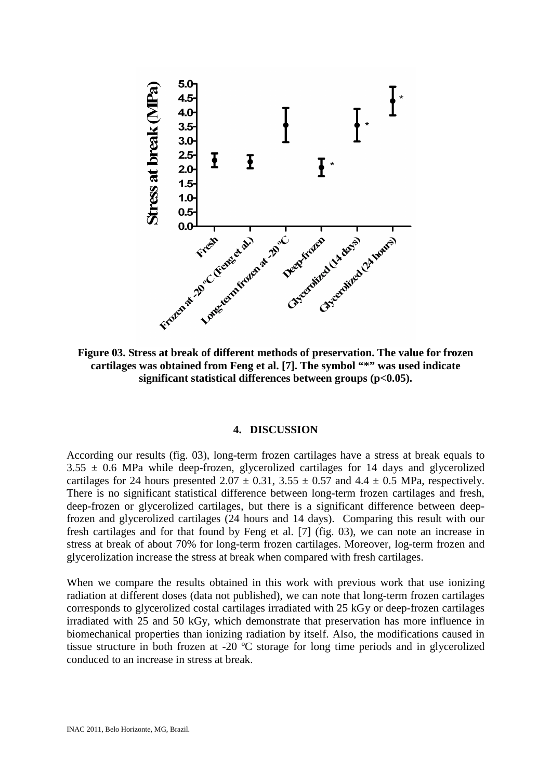

**Figure 03. Stress at break of different methods of preservation. The value for frozen cartilages was obtained from Feng et al. [7]. The symbol "\*" was used indicate significant statistical differences between groups (p<0.05).** 

#### **4. DISCUSSION**

According our results (fig. 03), long-term frozen cartilages have a stress at break equals to  $3.55 \pm 0.6$  MPa while deep-frozen, glycerolized cartilages for 14 days and glycerolized cartilages for 24 hours presented  $2.07 \pm 0.31$ ,  $3.55 \pm 0.57$  and  $4.4 \pm 0.5$  MPa, respectively. There is no significant statistical difference between long-term frozen cartilages and fresh, deep-frozen or glycerolized cartilages, but there is a significant difference between deepfrozen and glycerolized cartilages (24 hours and 14 days). Comparing this result with our fresh cartilages and for that found by Feng et al. [7] (fig. 03), we can note an increase in stress at break of about 70% for long-term frozen cartilages. Moreover, log-term frozen and glycerolization increase the stress at break when compared with fresh cartilages.

When we compare the results obtained in this work with previous work that use ionizing radiation at different doses (data not published), we can note that long-term frozen cartilages corresponds to glycerolized costal cartilages irradiated with 25 kGy or deep-frozen cartilages irradiated with 25 and 50 kGy, which demonstrate that preservation has more influence in biomechanical properties than ionizing radiation by itself. Also, the modifications caused in tissue structure in both frozen at -20 ºC storage for long time periods and in glycerolized conduced to an increase in stress at break.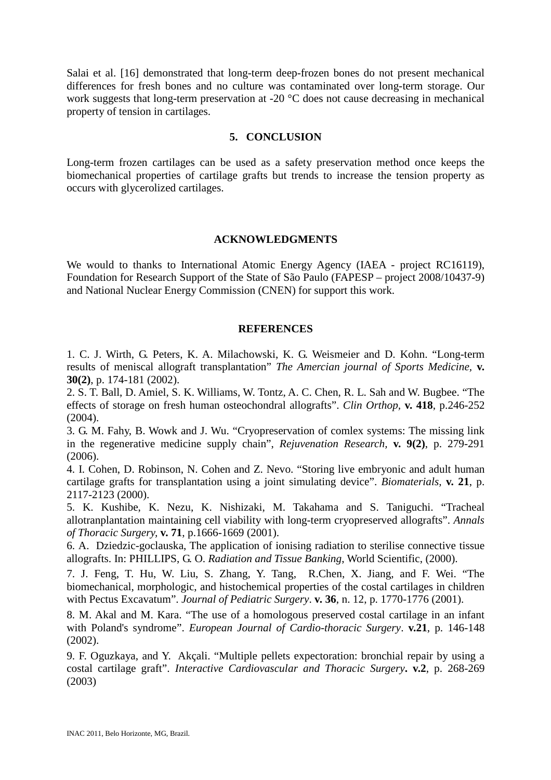Salai et al. [16] demonstrated that long-term deep-frozen bones do not present mechanical differences for fresh bones and no culture was contaminated over long-term storage. Our work suggests that long-term preservation at -20 °C does not cause decreasing in mechanical property of tension in cartilages.

#### **5. CONCLUSION**

Long-term frozen cartilages can be used as a safety preservation method once keeps the biomechanical properties of cartilage grafts but trends to increase the tension property as occurs with glycerolized cartilages.

## **ACKNOWLEDGMENTS**

We would to thanks to International Atomic Energy Agency (IAEA - project RC16119), Foundation for Research Support of the State of São Paulo (FAPESP – project 2008/10437-9) and National Nuclear Energy Commission (CNEN) for support this work.

## **REFERENCES**

1. C. J. Wirth, G. Peters, K. A. Milachowski, K. G. Weismeier and D. Kohn. "Long-term results of meniscal allograft transplantation" *The Amercian journal of Sports Medicine,* **v. 30(2)**, p. 174-181 (2002).

2. S. T. Ball, D. Amiel, S. K. Williams, W. Tontz, A. C. Chen, R. L. Sah and W. Bugbee. "The effects of storage on fresh human osteochondral allografts". *Clin Orthop,* **v. 418**, p.246-252 (2004).

3. G. M. Fahy, B. Wowk and J. Wu. "Cryopreservation of comlex systems: The missing link in the regenerative medicine supply chain", *Rejuvenation Research,* **v. 9(2)**, p. 279-291 (2006).

4. I. Cohen, D. Robinson, N. Cohen and Z. Nevo. "Storing live embryonic and adult human cartilage grafts for transplantation using a joint simulating device". *Biomaterials,* **v. 21**, p. 2117-2123 (2000).

5. K. Kushibe, K. Nezu, K. Nishizaki, M. Takahama and S. Taniguchi. "Tracheal allotranplantation maintaining cell viability with long-term cryopreserved allografts". *Annals of Thoracic Surgery,* **v. 71**, p.1666-1669 (2001).

6. A. Dziedzic-goclauska, The application of ionising radiation to sterilise connective tissue allografts. In: PHILLIPS, G. O. *Radiation and Tissue Banking*, World Scientific, (2000).

7. J. Feng, T. Hu, W. Liu, S. Zhang, Y. Tang, R.Chen, X. Jiang, and F. Wei. "The biomechanical, morphologic, and histochemical properties of the costal cartilages in children with Pectus Excavatum". *Journal of Pediatric Surgery*. **v. 36**, n. 12, p. 1770-1776 (2001).

8. M. Akal and M. Kara. "The use of a homologous preserved costal cartilage in an infant with Poland's syndrome". *European Journal of Cardio-thoracic Surgery*. **v.21**, p. 146-148 (2002).

9. F. Oguzkaya, and Y. Akçali. "Multiple pellets expectoration: bronchial repair by using a costal cartilage graft". *Interactive Cardiovascular and Thoracic Surgery***. v.2**, p. 268-269 (2003)